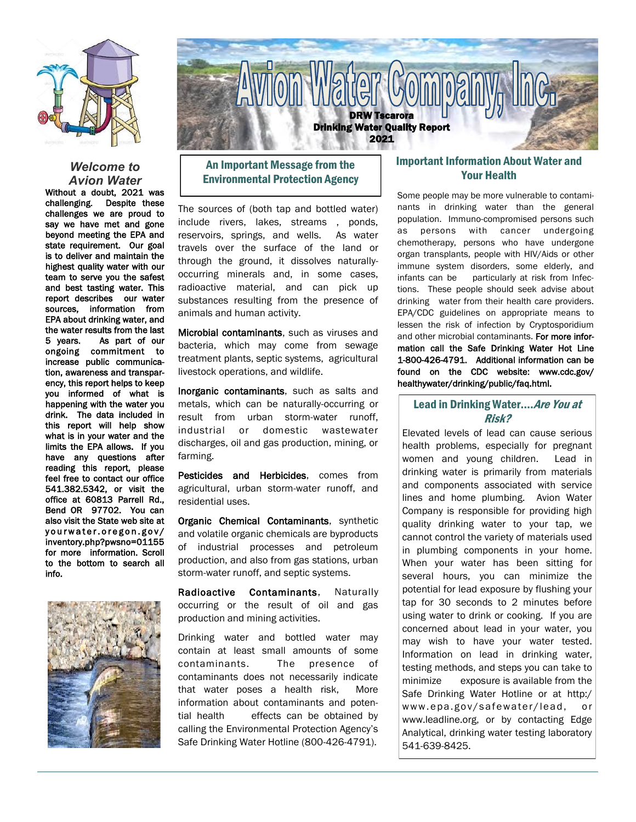

#### *Welcome to Avion Water*

Without a doubt, 2021 was challenging. Despite these challenges we are proud to say we have met and gone beyond meeting the EPA and state requirement. Our goal is to deliver and maintain the highest quality water with our team to serve you the safest and best tasting water. This report describes our water sources, information from EPA about drinking water, and the water results from the last 5 years. As part of our ongoing commitment to increase public communication, awareness and transparency, this report helps to keep you informed of what is happening with the water you drink. The data included in this report will help show what is in your water and the limits the EPA allows. If you have any questions after reading this report, please feel free to contact our office 541.382.5342, or visit the office at 60813 Parrell Rd., Bend OR 97702. You can also visit the State web site at yourwater.oregon.gov/ inventory.php?pwsno=01155 for more information. Scroll to the bottom to search all info.





# An Important Message from the Environmental Protection Agency

The sources of (both tap and bottled water) include rivers, lakes, streams , ponds, reservoirs, springs, and wells. As water travels over the surface of the land or through the ground, it dissolves naturallyoccurring minerals and, in some cases, radioactive material, and can pick up substances resulting from the presence of animals and human activity.

Microbial contaminants, such as viruses and bacteria, which may come from sewage treatment plants, septic systems, agricultural livestock operations, and wildlife.

Inorganic contaminants, such as salts and metals, which can be naturally-occurring or result from urban storm-water runoff, industrial or domestic wastewater discharges, oil and gas production, mining, or farming.

Pesticides and Herbicides, comes from agricultural, urban storm-water runoff, and residential uses.

Organic Chemical Contaminants, synthetic and volatile organic chemicals are byproducts of industrial processes and petroleum production, and also from gas stations, urban storm-water runoff, and septic systems.

Radioactive Contaminants, Naturally occurring or the result of oil and gas production and mining activities.

Drinking water and bottled water may contain at least small amounts of some contaminants. The presence of contaminants does not necessarily indicate that water poses a health risk, More information about contaminants and potential health effects can be obtained by calling the Environmental Protection Agency's Safe Drinking Water Hotline (800-426-4791).

## Important Information About Water and Your Health

Some people may be more vulnerable to contaminants in drinking water than the general population. Immuno-compromised persons such as persons with cancer undergoing chemotherapy, persons who have undergone organ transplants, people with HIV/Aids or other immune system disorders, some elderly, and infants can be particularly at risk from Infections. These people should seek advise about drinking water from their health care providers. EPA/CDC guidelines on appropriate means to lessen the risk of infection by Cryptosporidium and other microbial contaminants. For more information call the Safe Drinking Water Hot Line 1-800-426-4791. Additional information can be found on the CDC website: www.cdc.gov/ healthywater/drinking/public/faq.html.

## Lead in Drinking Water.... Are You at Risk?

Elevated levels of lead can cause serious health problems, especially for pregnant women and young children. Lead in drinking water is primarily from materials and components associated with service lines and home plumbing. Avion Water Company is responsible for providing high quality drinking water to your tap, we cannot control the variety of materials used in plumbing components in your home. When your water has been sitting for several hours, you can minimize the potential for lead exposure by flushing your tap for 30 seconds to 2 minutes before using water to drink or cooking. If you are concerned about lead in your water, you may wish to have your water tested. Information on lead in drinking water, testing methods, and steps you can take to minimize exposure is available from the Safe Drinking Water Hotline or at http:/ www.epa.gov/safewater/lead, or www.leadline.org, or by contacting Edge Analytical, drinking water testing laboratory 541-639-8425.